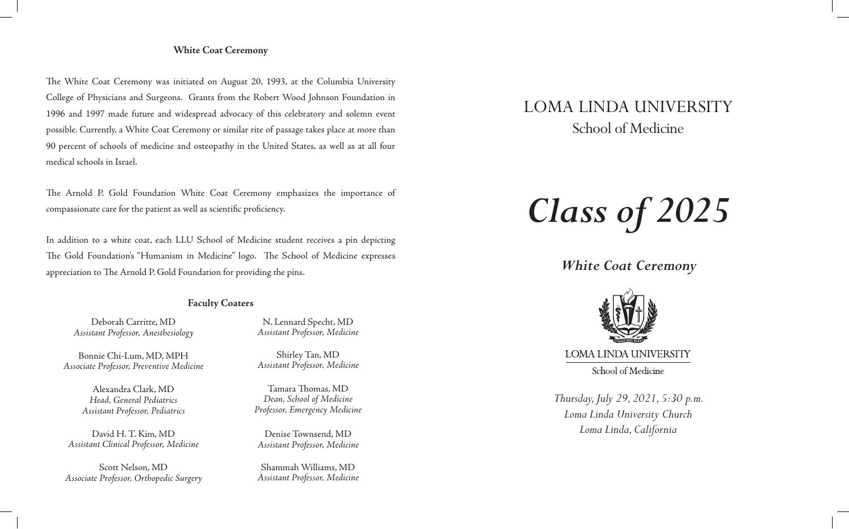## **White Coat Ceremony**

The White Coat Ceremony was initiated on August 20, 1993, at the Columbia University College of Physicians and Surgeons. Grants from the Robert Wood Johnson Foundation in 1996 and 1997 made future and widespread advocacy of this celebratory and solemn event possible. Currently, a White Coat Ceremony or similar rite of passage takes place at more than 90 percent of schools of medicine and osteopathy in the United States, as well as at all four medical schools in Israel.

The Arnold P. Gold Foundation White Coat Ceremony emphasizes the importance of compassionate care for the patient as well as scientific proficiency.

In addition to a white coat, each LLU School of Medicine student receives a pin depicting The Gold Foundation's "Humanism in Medicine" logo. The School of Medicine expresses appreciation to The Arnold P. Gold Foundation for providing the pins.

## **Faculty Coaters**

Deborah Carritte, MD *Assistant Professor, Anesthesiology*

Bonnie Chi-Lum, MD, MPH *Associate Professor, Preventive Medicine*

> Alexandra Clark, MD *Head, General Pediatrics Assistant Professor, Pediatrics*

David H. T. Kim, MD *Assistant Clinical Professor, Medicine*

Scott Nelson, MD *Associate Professor, Orthopedic Surgery*

N. Lennard Specht, MD *Assistant Professor, Medicine*

Shirley Tan, MD *Assistant Professor, Medicine*

Tamara Thomas, MD *Dean, School of Medicine Professor, Emergency Medicine*

Denise Townsend, MD *Assistant Professor, Medicine*

Shammah Williams, MD *Assistant Professor, Medicine*

# LOMA LINDA UNIVERSITY School of Medicine

# *Class of 2025*

*White Coat Ceremony*



**LOMA LINDA UNIVERSITY** School of Medicine

*Thursday, July 29, 2021, 5:30 p.m. Loma Linda University Church Loma Linda, California*